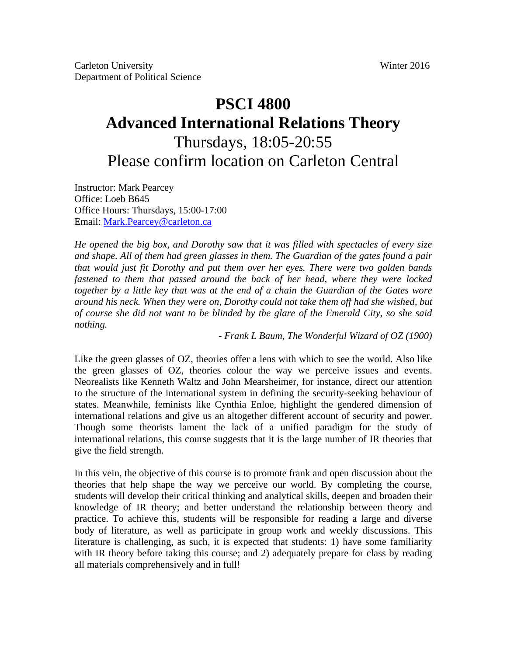# **PSCI 4800 Advanced International Relations Theory** Thursdays, 18:05-20:55 Please confirm location on Carleton Central

Instructor: Mark Pearcey Office: Loeb B645 Office Hours: Thursdays, 15:00-17:00 Email: Mark.Pearcey@carleton.ca

*He opened the big box, and Dorothy saw that it was filled with spectacles of every size and shape. All of them had green glasses in them. The Guardian of the gates found a pair that would just fit Dorothy and put them over her eyes. There were two golden bands fastened to them that passed around the back of her head, where they were locked together by a little key that was at the end of a chain the Guardian of the Gates wore around his neck. When they were on, Dorothy could not take them off had she wished, but of course she did not want to be blinded by the glare of the Emerald City, so she said nothing.* 

- *Frank L Baum, The Wonderful Wizard of OZ (1900)* 

Like the green glasses of OZ, theories offer a lens with which to see the world. Also like the green glasses of OZ, theories colour the way we perceive issues and events. Neorealists like Kenneth Waltz and John Mearsheimer, for instance, direct our attention to the structure of the international system in defining the security-seeking behaviour of states. Meanwhile, feminists like Cynthia Enloe, highlight the gendered dimension of international relations and give us an altogether different account of security and power. Though some theorists lament the lack of a unified paradigm for the study of international relations, this course suggests that it is the large number of IR theories that give the field strength.

In this vein, the objective of this course is to promote frank and open discussion about the theories that help shape the way we perceive our world. By completing the course, students will develop their critical thinking and analytical skills, deepen and broaden their knowledge of IR theory; and better understand the relationship between theory and practice. To achieve this, students will be responsible for reading a large and diverse body of literature, as well as participate in group work and weekly discussions. This literature is challenging, as such, it is expected that students: 1) have some familiarity with IR theory before taking this course; and 2) adequately prepare for class by reading all materials comprehensively and in full!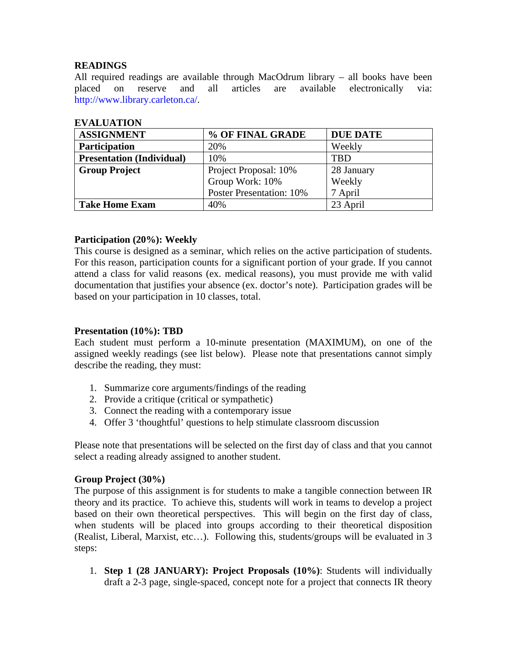# **READINGS**

All required readings are available through MacOdrum library – all books have been placed on reserve and all articles are available electronically via: http://www.library.carleton.ca/.

| <b>ASSIGNMENT</b>                | % OF FINAL GRADE                | <b>DUE DATE</b> |  |
|----------------------------------|---------------------------------|-----------------|--|
| Participation                    | 20%                             | Weekly          |  |
| <b>Presentation (Individual)</b> | 10%                             | <b>TBD</b>      |  |
| <b>Group Project</b>             | Project Proposal: 10%           | 28 January      |  |
|                                  | Group Work: 10%                 | Weekly          |  |
|                                  | <b>Poster Presentation: 10%</b> | 7 April         |  |
| <b>Take Home Exam</b>            | 40%                             | 23 April        |  |

# **EVALUATION**

# **Participation (20%): Weekly**

This course is designed as a seminar, which relies on the active participation of students. For this reason, participation counts for a significant portion of your grade. If you cannot attend a class for valid reasons (ex. medical reasons), you must provide me with valid documentation that justifies your absence (ex. doctor's note). Participation grades will be based on your participation in 10 classes, total.

# **Presentation (10%): TBD**

Each student must perform a 10-minute presentation (MAXIMUM), on one of the assigned weekly readings (see list below). Please note that presentations cannot simply describe the reading, they must:

- 1. Summarize core arguments/findings of the reading
- 2. Provide a critique (critical or sympathetic)
- 3. Connect the reading with a contemporary issue
- 4. Offer 3 'thoughtful' questions to help stimulate classroom discussion

Please note that presentations will be selected on the first day of class and that you cannot select a reading already assigned to another student.

# **Group Project (30%)**

The purpose of this assignment is for students to make a tangible connection between IR theory and its practice. To achieve this, students will work in teams to develop a project based on their own theoretical perspectives. This will begin on the first day of class, when students will be placed into groups according to their theoretical disposition (Realist, Liberal, Marxist, etc…). Following this, students/groups will be evaluated in 3 steps:

1. **Step 1 (28 JANUARY): Project Proposals (10%)**: Students will individually draft a 2-3 page, single-spaced, concept note for a project that connects IR theory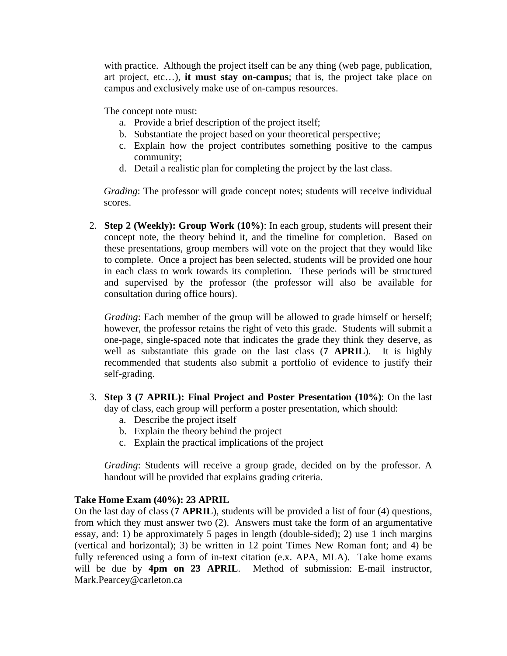with practice. Although the project itself can be any thing (web page, publication, art project, etc…), **it must stay on-campus**; that is, the project take place on campus and exclusively make use of on-campus resources.

The concept note must:

- a. Provide a brief description of the project itself;
- b. Substantiate the project based on your theoretical perspective;
- c. Explain how the project contributes something positive to the campus community;
- d. Detail a realistic plan for completing the project by the last class.

*Grading*: The professor will grade concept notes; students will receive individual scores.

2. **Step 2 (Weekly): Group Work (10%)**: In each group, students will present their concept note, the theory behind it, and the timeline for completion. Based on these presentations, group members will vote on the project that they would like to complete. Once a project has been selected, students will be provided one hour in each class to work towards its completion. These periods will be structured and supervised by the professor (the professor will also be available for consultation during office hours).

*Grading*: Each member of the group will be allowed to grade himself or herself; however, the professor retains the right of veto this grade. Students will submit a one-page, single-spaced note that indicates the grade they think they deserve, as well as substantiate this grade on the last class (**7 APRIL**). It is highly recommended that students also submit a portfolio of evidence to justify their self-grading.

- 3. **Step 3 (7 APRIL): Final Project and Poster Presentation (10%)**: On the last day of class, each group will perform a poster presentation, which should:
	- a. Describe the project itself
	- b. Explain the theory behind the project
	- c. Explain the practical implications of the project

*Grading*: Students will receive a group grade, decided on by the professor. A handout will be provided that explains grading criteria.

# **Take Home Exam (40%): 23 APRIL**

On the last day of class (**7 APRIL**), students will be provided a list of four (4) questions, from which they must answer two (2). Answers must take the form of an argumentative essay, and: 1) be approximately 5 pages in length (double-sided); 2) use 1 inch margins (vertical and horizontal); 3) be written in 12 point Times New Roman font; and 4) be fully referenced using a form of in-text citation (e.x. APA, MLA). Take home exams will be due by **4pm on 23 APRIL**. Method of submission: E-mail instructor, Mark.Pearcey@carleton.ca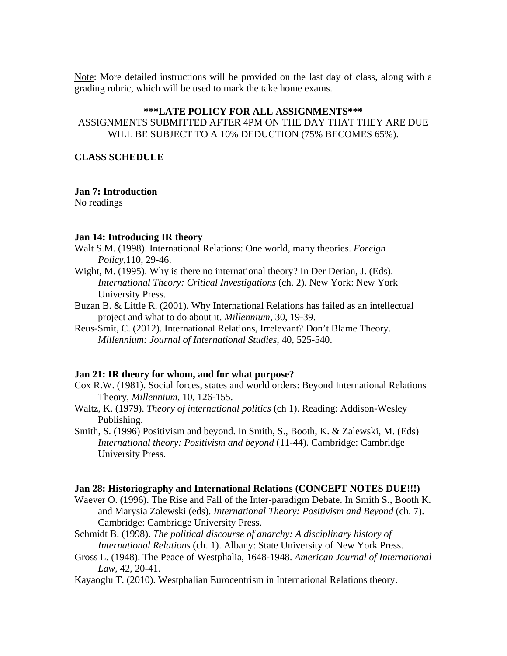Note: More detailed instructions will be provided on the last day of class, along with a grading rubric, which will be used to mark the take home exams.

# **\*\*\*LATE POLICY FOR ALL ASSIGNMENTS\*\*\***

ASSIGNMENTS SUBMITTED AFTER 4PM ON THE DAY THAT THEY ARE DUE WILL BE SUBJECT TO A 10% DEDUCTION (75% BECOMES 65%).

# **CLASS SCHEDULE**

#### **Jan 7: Introduction**

No readings

### **Jan 14: Introducing IR theory**

- Walt S.M. (1998). International Relations: One world, many theories. *Foreign Policy*,110, 29-46.
- Wight, M. (1995). Why is there no international theory? In Der Derian, J. (Eds). *International Theory: Critical Investigations* (ch. 2). New York: New York University Press.
- Buzan B. & Little R. (2001). Why International Relations has failed as an intellectual project and what to do about it. *Millennium*, 30, 19-39.
- Reus-Smit, C. (2012). International Relations, Irrelevant? Don't Blame Theory. *Millennium: Journal of International Studies*, 40, 525-540.

### **Jan 21: IR theory for whom, and for what purpose?**

- Cox R.W. (1981). Social forces, states and world orders: Beyond International Relations Theory, *Millennium*, 10, 126-155.
- Waltz, K. (1979). *Theory of international politics* (ch 1). Reading: Addison-Wesley Publishing.
- Smith, S. (1996) Positivism and beyond. In Smith, S., Booth, K. & Zalewski, M. (Eds) *International theory: Positivism and beyond* (11-44). Cambridge: Cambridge University Press.

## **Jan 28: Historiography and International Relations (CONCEPT NOTES DUE!!!)**

- Waever O. (1996). The Rise and Fall of the Inter-paradigm Debate. In Smith S., Booth K. and Marysia Zalewski (eds). *International Theory: Positivism and Beyond* (ch. 7). Cambridge: Cambridge University Press.
- Schmidt B. (1998). *The political discourse of anarchy: A disciplinary history of International Relations* (ch. 1). Albany: State University of New York Press.
- Gross L. (1948). The Peace of Westphalia, 1648-1948. *American Journal of International Law*, 42, 20-41.
- Kayaoglu T. (2010). Westphalian Eurocentrism in International Relations theory.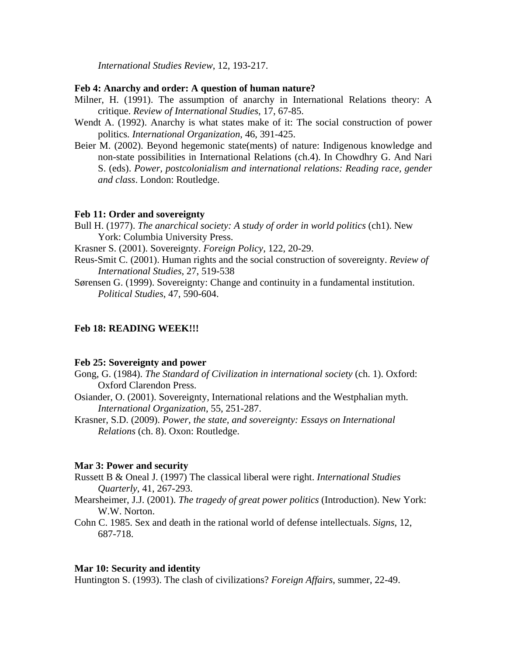*International Studies Review*, 12, 193-217.

## **Feb 4: Anarchy and order: A question of human nature?**

- Milner, H. (1991). The assumption of anarchy in International Relations theory: A critique. *Review of International Studies*, 17, 67-85.
- Wendt A. (1992). Anarchy is what states make of it: The social construction of power politics*. International Organization*, 46, 391-425.
- Beier M. (2002). Beyond hegemonic state(ments) of nature: Indigenous knowledge and non-state possibilities in International Relations (ch.4). In Chowdhry G. And Nari S. (eds). *Power, postcolonialism and international relations: Reading race, gender and class*. London: Routledge.

#### **Feb 11: Order and sovereignty**

Bull H. (1977). *The anarchical society: A study of order in world politics* (ch1). New York: Columbia University Press.

Krasner S. (2001). Sovereignty. *Foreign Policy*, 122, 20-29.

Reus-Smit C. (2001). Human rights and the social construction of sovereignty. *Review of International Studies*, 27, 519-538

Sørensen G. (1999). Sovereignty: Change and continuity in a fundamental institution. *Political Studies*, 47, 590-604.

# **Feb 18: READING WEEK!!!**

#### **Feb 25: Sovereignty and power**

- Gong, G. (1984). *The Standard of Civilization in international society* (ch. 1). Oxford: Oxford Clarendon Press.
- Osiander, O. (2001). Sovereignty, International relations and the Westphalian myth. *International Organization*, 55, 251-287.
- Krasner, S.D. (2009). *Power, the state, and sovereignty: Essays on International Relations* (ch. 8). Oxon: Routledge.

### **Mar 3: Power and security**

- Russett B & Oneal J. (1997) The classical liberal were right. *International Studies Quarterly*, 41, 267-293.
- Mearsheimer, J.J. (2001). *The tragedy of great power politics* (Introduction). New York: W.W. Norton.
- Cohn C. 1985. Sex and death in the rational world of defense intellectuals. *Signs*, 12, 687-718.

#### **Mar 10: Security and identity**

Huntington S. (1993). The clash of civilizations? *Foreign Affairs*, summer, 22-49.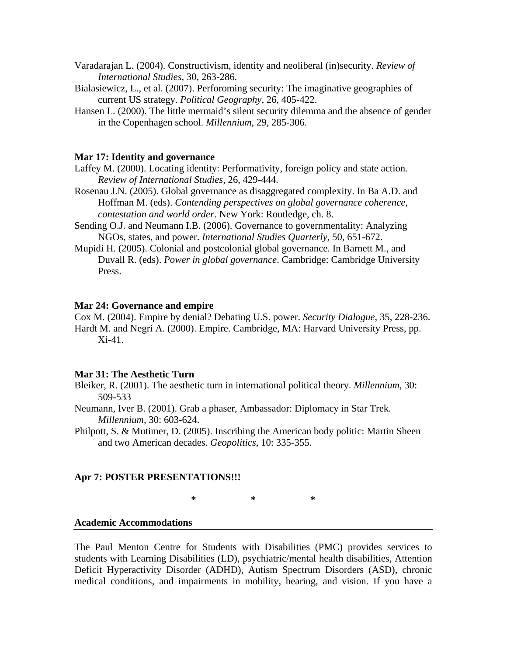- Varadarajan L. (2004). Constructivism, identity and neoliberal (in)security. *Review of International Studies*, 30, 263-286.
- Bialasiewicz, L., et al. (2007). Perforoming security: The imaginative geographies of current US strategy. *Political Geography*, 26, 405-422.
- Hansen L. (2000). The little mermaid's silent security dilemma and the absence of gender in the Copenhagen school. *Millennium*, 29, 285-306.

#### **Mar 17: Identity and governance**

- Laffey M. (2000). Locating identity: Performativity, foreign policy and state action*. Review of International Studies*, 26, 429-444.
- Rosenau J.N. (2005). Global governance as disaggregated complexity. In Ba A.D. and Hoffman M. (eds). *Contending perspectives on global governance coherence, contestation and world order*. New York: Routledge, ch. 8.
- Sending O.J. and Neumann I.B. (2006). Governance to governmentality: Analyzing NGOs, states, and power. *International Studies Quarterly*, 50, 651-672.
- Mupidi H. (2005). Colonial and postcolonial global governance. In Barnett M., and Duvall R. (eds). *Power in global governance*. Cambridge: Cambridge University Press.

#### **Mar 24: Governance and empire**

Cox M. (2004). Empire by denial? Debating U.S. power. *Security Dialogue*, 35, 228-236. Hardt M. and Negri A. (2000). Empire. Cambridge, MA: Harvard University Press, pp. Xi-41.

### **Mar 31: The Aesthetic Turn**

- Bleiker, R. (2001). The aesthetic turn in international political theory. *Millennium*, 30: 509-533
- Neumann, Iver B. (2001). Grab a phaser, Ambassador: Diplomacy in Star Trek. *Millennium*, 30: 603-624.
- Philpott, S. & Mutimer, D. (2005). Inscribing the American body politic: Martin Sheen and two American decades. *Geopolitics*, 10: 335-355.

#### **Apr 7: POSTER PRESENTATIONS!!!**

**\* \* \*** 

#### **Academic Accommodations**

The Paul Menton Centre for Students with Disabilities (PMC) provides services to students with Learning Disabilities (LD), psychiatric/mental health disabilities, Attention Deficit Hyperactivity Disorder (ADHD), Autism Spectrum Disorders (ASD), chronic medical conditions, and impairments in mobility, hearing, and vision. If you have a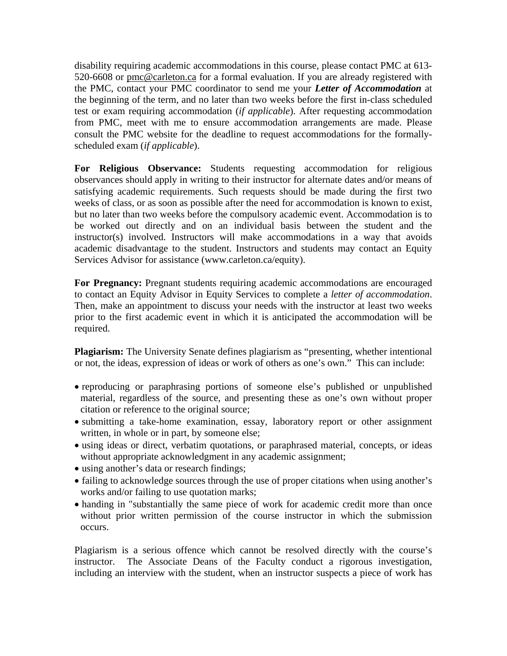disability requiring academic accommodations in this course, please contact PMC at 613- 520-6608 or pmc@carleton.ca for a formal evaluation. If you are already registered with the PMC, contact your PMC coordinator to send me your *Letter of Accommodation* at the beginning of the term, and no later than two weeks before the first in-class scheduled test or exam requiring accommodation (*if applicable*). After requesting accommodation from PMC, meet with me to ensure accommodation arrangements are made. Please consult the PMC website for the deadline to request accommodations for the formallyscheduled exam (*if applicable*).

**For Religious Observance:** Students requesting accommodation for religious observances should apply in writing to their instructor for alternate dates and/or means of satisfying academic requirements. Such requests should be made during the first two weeks of class, or as soon as possible after the need for accommodation is known to exist, but no later than two weeks before the compulsory academic event. Accommodation is to be worked out directly and on an individual basis between the student and the instructor(s) involved. Instructors will make accommodations in a way that avoids academic disadvantage to the student. Instructors and students may contact an Equity Services Advisor for assistance (www.carleton.ca/equity).

**For Pregnancy:** Pregnant students requiring academic accommodations are encouraged to contact an Equity Advisor in Equity Services to complete a *letter of accommodation*. Then, make an appointment to discuss your needs with the instructor at least two weeks prior to the first academic event in which it is anticipated the accommodation will be required.

**Plagiarism:** The University Senate defines plagiarism as "presenting, whether intentional or not, the ideas, expression of ideas or work of others as one's own." This can include:

- reproducing or paraphrasing portions of someone else's published or unpublished material, regardless of the source, and presenting these as one's own without proper citation or reference to the original source;
- submitting a take-home examination, essay, laboratory report or other assignment written, in whole or in part, by someone else;
- using ideas or direct, verbatim quotations, or paraphrased material, concepts, or ideas without appropriate acknowledgment in any academic assignment;
- using another's data or research findings;
- failing to acknowledge sources through the use of proper citations when using another's works and/or failing to use quotation marks;
- handing in "substantially the same piece of work for academic credit more than once without prior written permission of the course instructor in which the submission occurs.

Plagiarism is a serious offence which cannot be resolved directly with the course's instructor. The Associate Deans of the Faculty conduct a rigorous investigation, including an interview with the student, when an instructor suspects a piece of work has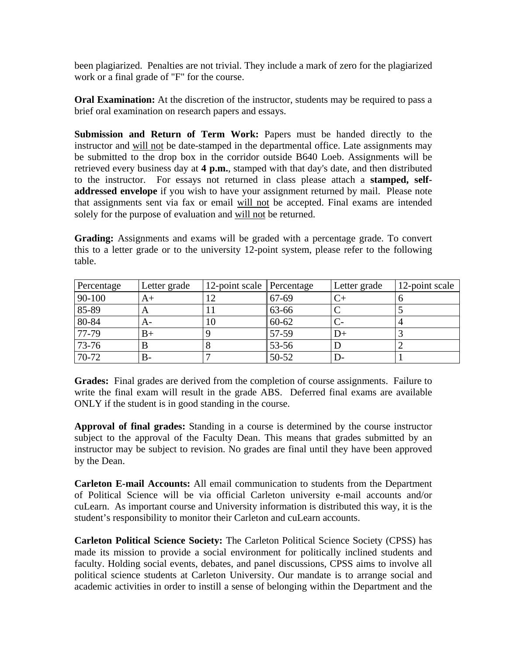been plagiarized. Penalties are not trivial. They include a mark of zero for the plagiarized work or a final grade of "F" for the course.

**Oral Examination:** At the discretion of the instructor, students may be required to pass a brief oral examination on research papers and essays.

**Submission and Return of Term Work:** Papers must be handed directly to the instructor and will not be date-stamped in the departmental office. Late assignments may be submitted to the drop box in the corridor outside B640 Loeb. Assignments will be retrieved every business day at **4 p.m.**, stamped with that day's date, and then distributed to the instructor. For essays not returned in class please attach a **stamped, selfaddressed envelope** if you wish to have your assignment returned by mail. Please note that assignments sent via fax or email will not be accepted. Final exams are intended solely for the purpose of evaluation and will not be returned.

**Grading:** Assignments and exams will be graded with a percentage grade. To convert this to a letter grade or to the university 12-point system, please refer to the following table.

| Percentage | Letter grade | 12-point scale Percentage |           | Letter grade | 12-point scale |
|------------|--------------|---------------------------|-----------|--------------|----------------|
| 90-100     | A+           |                           | 67-69     |              |                |
| 85-89      | $\Delta$     | Ħ                         | 63-66     |              |                |
| $80 - 84$  | A-           | 10                        | $60 - 62$ |              |                |
| 77-79      | $_{\rm B+}$  |                           | 57-59     |              |                |
| 73-76      |              |                           | 53-56     |              |                |
| 70-72      | В-           |                           | 50-52     |              |                |

**Grades:** Final grades are derived from the completion of course assignments. Failure to write the final exam will result in the grade ABS. Deferred final exams are available ONLY if the student is in good standing in the course.

**Approval of final grades:** Standing in a course is determined by the course instructor subject to the approval of the Faculty Dean. This means that grades submitted by an instructor may be subject to revision. No grades are final until they have been approved by the Dean.

**Carleton E-mail Accounts:** All email communication to students from the Department of Political Science will be via official Carleton university e-mail accounts and/or cuLearn. As important course and University information is distributed this way, it is the student's responsibility to monitor their Carleton and cuLearn accounts.

**Carleton Political Science Society:** The Carleton Political Science Society (CPSS) has made its mission to provide a social environment for politically inclined students and faculty. Holding social events, debates, and panel discussions, CPSS aims to involve all political science students at Carleton University. Our mandate is to arrange social and academic activities in order to instill a sense of belonging within the Department and the